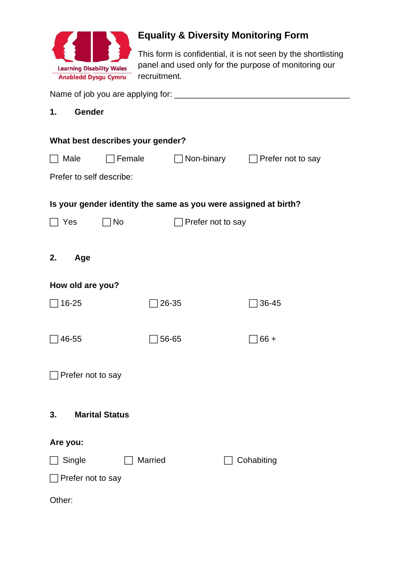

# **Equality & Diversity Monitoring Form**

This form is confidential, it is not seen by the shortlisting panel and used only for the purpose of monitoring our recruitment.

| 1.                                     | Gender                           |        |                                                                 |  |
|----------------------------------------|----------------------------------|--------|-----------------------------------------------------------------|--|
|                                        |                                  |        |                                                                 |  |
|                                        | What best describes your gender? |        |                                                                 |  |
| Male                                   |                                  | Female | $\Box$ Non-binary $\Box$ Prefer not to say                      |  |
|                                        | Prefer to self describe:         |        |                                                                 |  |
|                                        |                                  |        | Is your gender identity the same as you were assigned at birth? |  |
|                                        | No<br>Prefer not to say<br>Yes   |        |                                                                 |  |
|                                        |                                  |        |                                                                 |  |
| 2.                                     | Age                              |        |                                                                 |  |
|                                        | How old are you?                 |        |                                                                 |  |
| 16-25                                  |                                  | 26-35  | 36-45                                                           |  |
|                                        |                                  |        |                                                                 |  |
| 46-55                                  |                                  | 56-65  | $66 +$                                                          |  |
| Prefer not to say                      |                                  |        |                                                                 |  |
|                                        |                                  |        |                                                                 |  |
| 3.                                     | <b>Marital Status</b>            |        |                                                                 |  |
| Are you:                               |                                  |        |                                                                 |  |
| <b>Married</b><br>Single<br>Cohabiting |                                  |        |                                                                 |  |
| Prefer not to say                      |                                  |        |                                                                 |  |
|                                        |                                  |        |                                                                 |  |
| Other:                                 |                                  |        |                                                                 |  |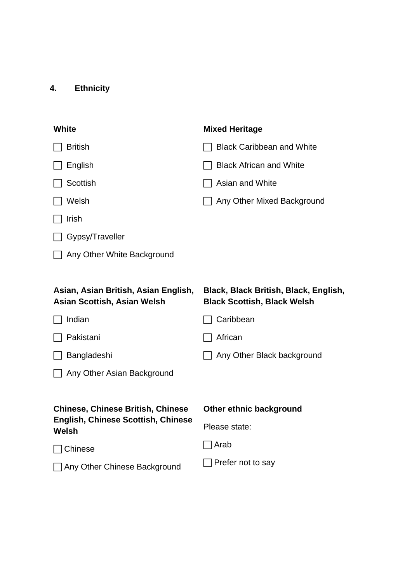## **4. Ethnicity**

| <b>White</b>                                       | <b>Mixed Heritage</b>                 |
|----------------------------------------------------|---------------------------------------|
| <b>British</b>                                     | <b>Black Caribbean and White</b>      |
| English                                            | <b>Black African and White</b>        |
| Scottish                                           | Asian and White                       |
| Welsh                                              | Any Other Mixed Background            |
| Irish                                              |                                       |
| Gypsy/Traveller                                    |                                       |
| Any Other White Background                         |                                       |
|                                                    |                                       |
| Asian, Asian British, Asian English,               | Black, Black British, Black, English, |
| <b>Asian Scottish, Asian Welsh</b>                 | <b>Black Scottish, Black Welsh</b>    |
| Indian                                             | Caribbean                             |
| Pakistani                                          | African                               |
| Bangladeshi                                        | Any Other Black background            |
| Any Other Asian Background                         |                                       |
|                                                    |                                       |
| <b>Chinese, Chinese British, Chinese</b>           | Other ethnic background               |
| <b>English, Chinese Scottish, Chinese</b><br>Welsh | Please state:                         |
| Chinese                                            | Arab                                  |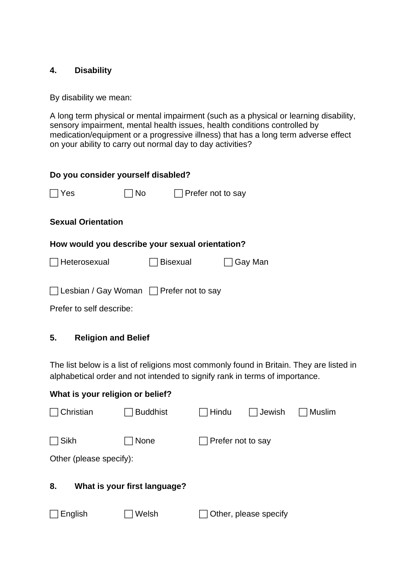#### **4. Disability**

By disability we mean:

A long term physical or mental impairment (such as a physical or learning disability, sensory impairment, mental health issues, health conditions controlled by medication/equipment or a progressive illness) that has a long term adverse effect on your ability to carry out normal day to day activities?

| Do you consider yourself disabled?                  |    |                          |         |  |
|-----------------------------------------------------|----|--------------------------|---------|--|
| Yes                                                 | No | $\Box$ Prefer not to say |         |  |
| <b>Sexual Orientation</b>                           |    |                          |         |  |
| How would you describe your sexual orientation?     |    |                          |         |  |
| □ Heterosexual                                      |    | Bisexual                 | Gay Man |  |
|                                                     |    |                          |         |  |
| $\Box$ Lesbian / Gay Woman $\Box$ Prefer not to say |    |                          |         |  |
| Prefer to self describe:                            |    |                          |         |  |

#### **5. Religion and Belief**

What is your religion or helief?

The list below is a list of religions most commonly found in Britain. They are listed in alphabetical order and not intended to signify rank in terms of importance.

| <b>THE STREET IS THE THE STREET OF BUILDIT</b> |                 |                   |                       |        |
|------------------------------------------------|-----------------|-------------------|-----------------------|--------|
| Christian                                      | <b>Buddhist</b> | ∏Hindu            | $\Box$ Jewish         | Muslim |
| Sikh<br>None                                   |                 | Prefer not to say |                       |        |
| Other (please specify):                        |                 |                   |                       |        |
| What is your first language?<br>8.             |                 |                   |                       |        |
| English                                        | Welsh           |                   | Other, please specify |        |